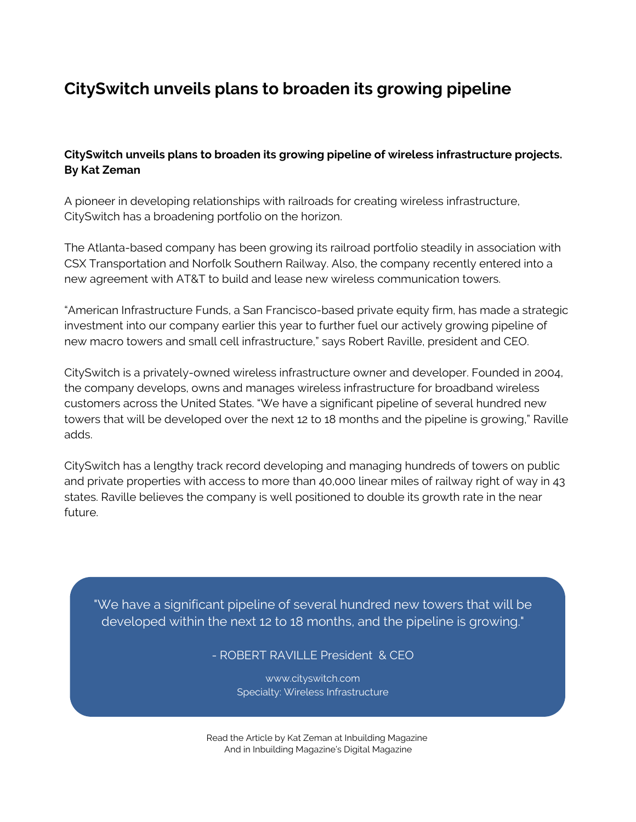## **CitySwitch unveils plans to broaden its growing pipeline**

## **CitySwitch unveils plans to broaden its growing pipeline of wireless infrastructure projects. By Kat [Zeman](https://www.linkedin.com/in/kat-zeman-1396419)**

A pioneer in developing relationships with railroads for creating wireless infrastructure, [CitySwitch](https://www.cityswitch.com/) has a broadening portfolio on the horizon.

The Atlanta-based company has been growing its railroad portfolio steadily in association with CSX Transportation and Norfolk Southern Railway. Also, the company recently entered into a new agreement with AT&T to build and lease new wireless communication towers.

"American Infrastructure Funds, a San Francisco-based private equity firm, has made a strategic investment into our company earlier this year to further fuel our actively growing pipeline of new macro towers and small cell infrastructure," says Robert Raville, president and CEO.

CitySwitch is a privately-owned wireless infrastructure owner and developer. Founded in 2004, the company develops, owns and manages wireless infrastructure for broadband wireless customers across the United States. "We have a significant pipeline of several hundred new towers that will be developed over the next 12 to 18 months and the pipeline is growing," Raville adds.

CitySwitch has a lengthy track record developing and managing hundreds of towers on public and private properties with access to more than 40,000 linear miles of railway right of way in 43 states. Raville believes the company is well positioned to double its growth rate in the near future.

"We have a significant pipeline of several hundred new towers that will be developed within the next 12 to 18 months, and the pipeline is growing."

- ROBERT RAVILLE President & CEO

www.cityswitch.com Specialty: Wireless Infrastructure

Read the Article by Kat Zeman at [Inbuilding](http://www.inbuilding-magazine.com/38-smart-buildings/92-cityswitch) Magazin[e](http://www.inbuilding-magazine.com/38-smart-buildings/92-cityswitch) And in Inbuilding [Magazine's](http://www.nxtbook.com/nxtbooks/knighthouse/inbuilding_vol2issue3/index.php#/72) Digital Magazine